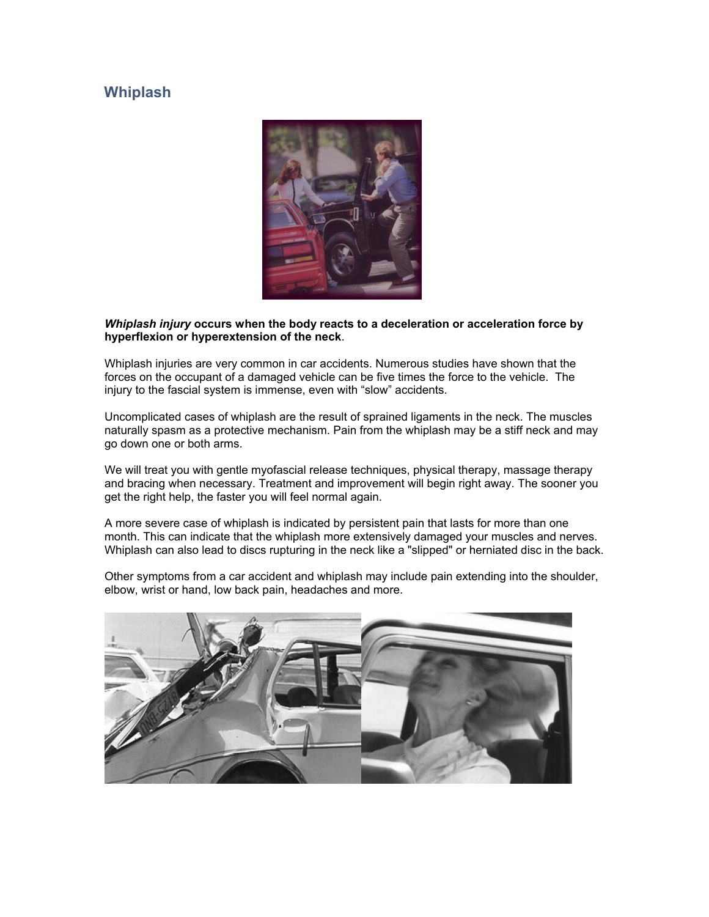## **Whiplash**



## *Whiplash injury* **occurs when the body reacts to a deceleration or acceleration force by hyperflexion or hyperextension of the neck**.

Whiplash injuries are very common in car accidents. Numerous studies have shown that the forces on the occupant of a damaged vehicle can be five times the force to the vehicle. The injury to the fascial system is immense, even with "slow" accidents.

Uncomplicated cases of whiplash are the result of sprained ligaments in the neck. The muscles naturally spasm as a protective mechanism. Pain from the whiplash may be a stiff neck and may go down one or both arms.

We will treat you with gentle myofascial release techniques, physical therapy, massage therapy and bracing when necessary. Treatment and improvement will begin right away. The sooner you get the right help, the faster you will feel normal again.

A more severe case of whiplash is indicated by persistent pain that lasts for more than one month. This can indicate that the whiplash more extensively damaged your muscles and nerves. Whiplash can also lead to discs rupturing in the neck like a "slipped" or herniated disc in the back.

Other symptoms from a car accident and whiplash may include pain extending into the shoulder, elbow, wrist or hand, low back pain, headaches and more.